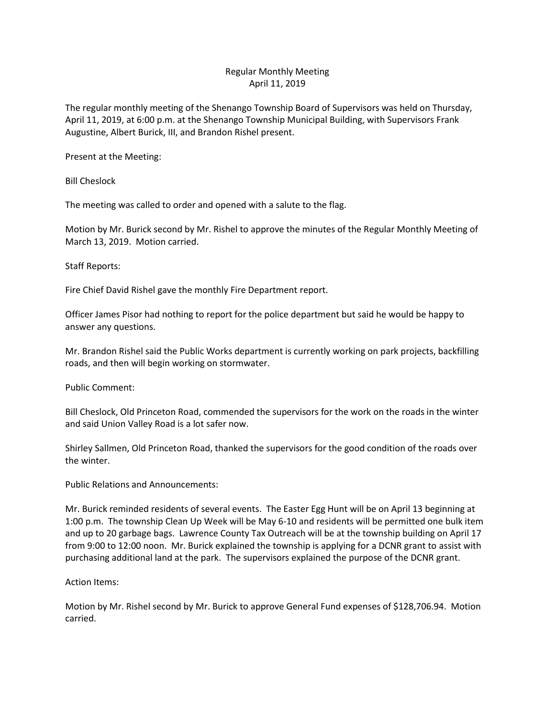## Regular Monthly Meeting April 11, 2019

The regular monthly meeting of the Shenango Township Board of Supervisors was held on Thursday, April 11, 2019, at 6:00 p.m. at the Shenango Township Municipal Building, with Supervisors Frank Augustine, Albert Burick, III, and Brandon Rishel present.

Present at the Meeting:

Bill Cheslock

The meeting was called to order and opened with a salute to the flag.

Motion by Mr. Burick second by Mr. Rishel to approve the minutes of the Regular Monthly Meeting of March 13, 2019. Motion carried.

Staff Reports:

Fire Chief David Rishel gave the monthly Fire Department report.

Officer James Pisor had nothing to report for the police department but said he would be happy to answer any questions.

Mr. Brandon Rishel said the Public Works department is currently working on park projects, backfilling roads, and then will begin working on stormwater.

Public Comment:

Bill Cheslock, Old Princeton Road, commended the supervisors for the work on the roads in the winter and said Union Valley Road is a lot safer now.

Shirley Sallmen, Old Princeton Road, thanked the supervisors for the good condition of the roads over the winter.

Public Relations and Announcements:

Mr. Burick reminded residents of several events. The Easter Egg Hunt will be on April 13 beginning at 1:00 p.m. The township Clean Up Week will be May 6-10 and residents will be permitted one bulk item and up to 20 garbage bags. Lawrence County Tax Outreach will be at the township building on April 17 from 9:00 to 12:00 noon. Mr. Burick explained the township is applying for a DCNR grant to assist with purchasing additional land at the park. The supervisors explained the purpose of the DCNR grant.

Action Items:

Motion by Mr. Rishel second by Mr. Burick to approve General Fund expenses of \$128,706.94. Motion carried.